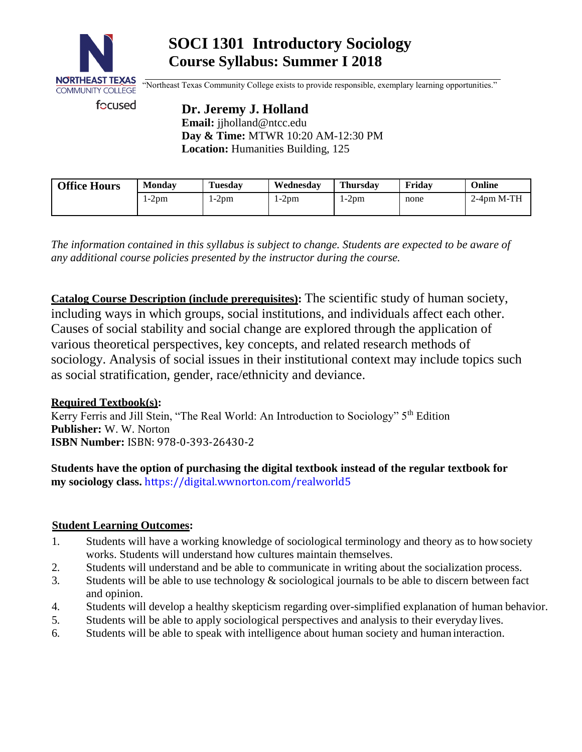

# **SOCI 1301 Introductory Sociology Course Syllabus: Summer I 2018**

"Northeast Texas Community College exists to provide responsible, exemplary learning opportunities."

focused

**Dr. Jeremy J. Holland Email:** [jjholland@ntcc.edu](mailto:jjholland@ntcc.edu) **Day & Time:** MTWR 10:20 AM-12:30 PM **Location:** Humanities Building, 125

| <b>Office Hours</b> | Monday | <b>Tuesday</b> | Wednesdav | <b>Thursday</b> | Fridav | Online                   |
|---------------------|--------|----------------|-----------|-----------------|--------|--------------------------|
|                     | 1-2pm  | 1-2pm          | l-2pm     | $1-2pm$         | none   | $2-4$ <sub>pm</sub> M-TH |

*The information contained in this syllabus is subject to change. Students are expected to be aware of any additional course policies presented by the instructor during the course.*

**Catalog Course Description (include prerequisites):** The scientific study of human society, including ways in which groups, social institutions, and individuals affect each other. Causes of social stability and social change are explored through the application of various theoretical perspectives, key concepts, and related research methods of sociology. Analysis of social issues in their institutional context may include topics such as social stratification, gender, race/ethnicity and deviance.

# **Required Textbook(s):**

Kerry Ferris and Jill Stein, "The Real World: An Introduction to Sociology" 5th Edition **Publisher:** W. W. Norton **ISBN Number:** ISBN: 978-0-393-26430-2

**Students have the option of purchasing the digital textbook instead of the regular textbook for my sociology class.** <https://digital.wwnorton.com/realworld5>

## **Student Learning Outcomes:**

- 1. Students will have a working knowledge of sociological terminology and theory as to howsociety works. Students will understand how cultures maintain themselves.
- 2. Students will understand and be able to communicate in writing about the socialization process.
- 3. Students will be able to use technology & sociological journals to be able to discern between fact and opinion.
- 4. Students will develop a healthy skepticism regarding over-simplified explanation of human behavior.
- 5. Students will be able to apply sociological perspectives and analysis to their everyday lives.
- 6. Students will be able to speak with intelligence about human society and human interaction.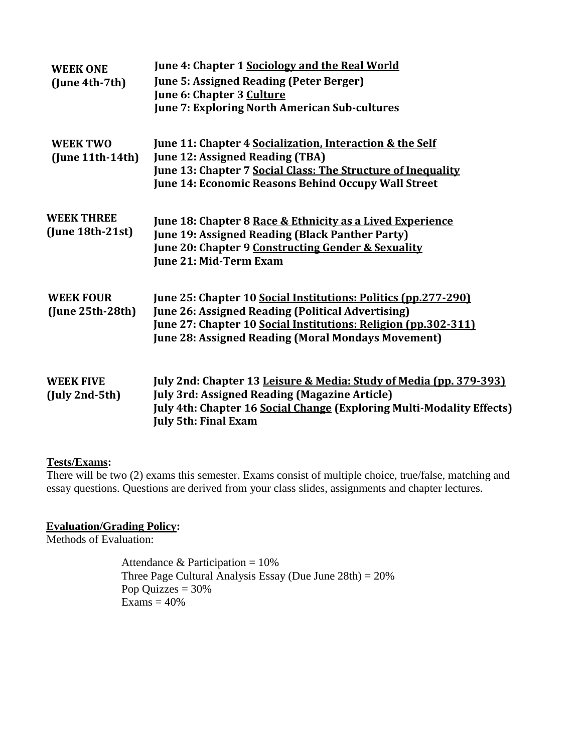| <b>WEEK ONE</b><br>(June 4th-7th)             | June 4: Chapter 1 Sociology and the Real World<br><b>June 5: Assigned Reading (Peter Berger)</b><br>June 6: Chapter 3 Culture<br><b>June 7: Exploring North American Sub-cultures</b>                                                                     |
|-----------------------------------------------|-----------------------------------------------------------------------------------------------------------------------------------------------------------------------------------------------------------------------------------------------------------|
| <b>WEEK TWO</b><br>$($ June 11th $-14$ th $)$ | June 11: Chapter 4 Socialization, Interaction & the Self<br><b>June 12: Assigned Reading (TBA)</b><br>June 13: Chapter 7 Social Class: The Structure of Inequality<br>June 14: Economic Reasons Behind Occupy Wall Street                                 |
| <b>WEEK THREE</b><br>$(June 18th-21st)$       | June 18: Chapter 8 Race & Ethnicity as a Lived Experience<br>June 19: Assigned Reading (Black Panther Party)<br>June 20: Chapter 9 Constructing Gender & Sexuality<br>June 21: Mid-Term Exam                                                              |
| <b>WEEK FOUR</b><br>$(June 25th-28th)$        | June 25: Chapter 10 Social Institutions: Politics (pp.277-290)<br><b>June 26: Assigned Reading (Political Advertising)</b><br>June 27: Chapter 10 Social Institutions: Religion (pp.302-311)<br><b>June 28: Assigned Reading (Moral Mondays Movement)</b> |
| <b>WEEK FIVE</b><br>$(July 2nd-5th)$          | July 2nd: Chapter 13 Leisure & Media: Study of Media (pp. 379-393)<br><b>July 3rd: Assigned Reading (Magazine Article)</b><br>July 4th: Chapter 16 Social Change (Exploring Multi-Modality Effects)<br><b>July 5th: Final Exam</b>                        |

# **Tests/Exams:**

There will be two (2) exams this semester. Exams consist of multiple choice, true/false, matching and essay questions. Questions are derived from your class slides, assignments and chapter lectures.

## **Evaluation/Grading Policy:**

Methods of Evaluation:

Attendance & Participation =  $10\%$ Three Page Cultural Analysis Essay (Due June 28th) = 20% Pop Quizzes  $= 30%$  $\angle$ Exams = 40%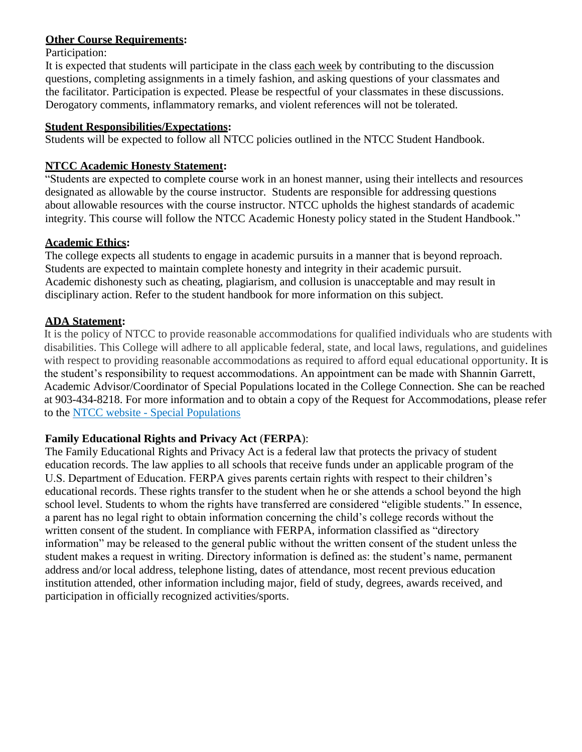## **Other Course Requirements:**

#### Participation:

It is expected that students will participate in the class each week by contributing to the discussion questions, completing assignments in a timely fashion, and asking questions of your classmates and the facilitator. Participation is expected. Please be respectful of your classmates in these discussions. Derogatory comments, inflammatory remarks, and violent references will not be tolerated.

#### **Student Responsibilities/Expectations:**

Students will be expected to follow all NTCC policies outlined in the NTCC Student Handbook.

## **NTCC Academic Honesty Statement:**

"Students are expected to complete course work in an honest manner, using their intellects and resources designated as allowable by the course instructor. Students are responsible for addressing questions about allowable resources with the course instructor. NTCC upholds the highest standards of academic integrity. This course will follow the NTCC Academic Honesty policy stated in the Student Handbook."

#### **Academic Ethics:**

The college expects all students to engage in academic pursuits in a manner that is beyond reproach. Students are expected to maintain complete honesty and integrity in their academic pursuit. Academic dishonesty such as cheating, plagiarism, and collusion is unacceptable and may result in disciplinary action. Refer to the student handbook for more information on this subject.

## **ADA Statement:**

It is the policy of NTCC to provide reasonable accommodations for qualified individuals who are students with disabilities. This College will adhere to all applicable federal, state, and local laws, regulations, and guidelines with respect to providing reasonable accommodations as required to afford equal educational opportunity. It is the student's responsibility to request accommodations. An appointment can be made with Shannin Garrett, Academic Advisor/Coordinator of Special Populations located in the College Connection. She can be reached at 903-434-8218. For more information and to obtain a copy of the Request for Accommodations, please refer to the NTCC website - [Special Populations](http://www.ntcc.edu/index.php?module=Pagesetter&func=viewpub&tid=111&pid=1)

## **Family Educational Rights and Privacy Act** (**FERPA**):

The Family Educational Rights and Privacy Act is a federal law that protects the privacy of student education records. The law applies to all schools that receive funds under an applicable program of the U.S. Department of Education. FERPA gives parents certain rights with respect to their children's educational records. These rights transfer to the student when he or she attends a school beyond the high school level. Students to whom the rights have transferred are considered "eligible students." In essence, a parent has no legal right to obtain information concerning the child's college records without the written consent of the student. In compliance with FERPA, information classified as "directory information" may be released to the general public without the written consent of the student unless the student makes a request in writing. Directory information is defined as: the student's name, permanent address and/or local address, telephone listing, dates of attendance, most recent previous education institution attended, other information including major, field of study, degrees, awards received, and participation in officially recognized activities/sports.